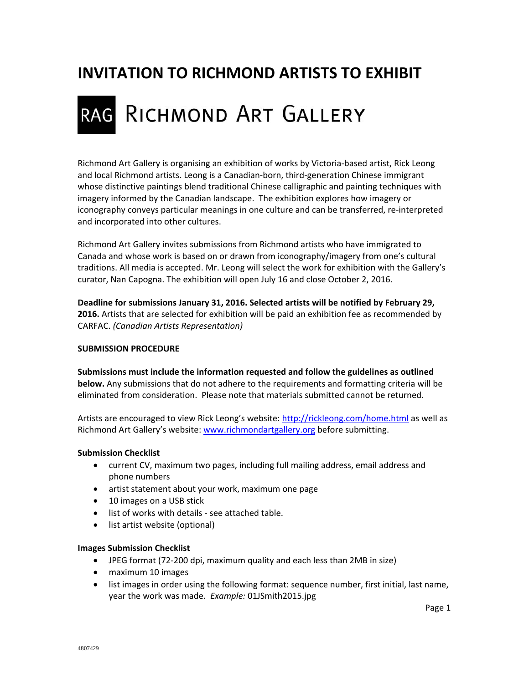# **INVITATION TO RICHMOND ARTISTS TO EXHIBIT**

# RAG RICHMOND ART GALLERY

Richmond Art Gallery is organising an exhibition of works by Victoria‐based artist, Rick Leong and local Richmond artists. Leong is a Canadian‐born, third‐generation Chinese immigrant whose distinctive paintings blend traditional Chinese calligraphic and painting techniques with imagery informed by the Canadian landscape. The exhibition explores how imagery or iconography conveys particular meanings in one culture and can be transferred, re‐interpreted and incorporated into other cultures.

Richmond Art Gallery invites submissions from Richmond artists who have immigrated to Canada and whose work is based on or drawn from iconography/imagery from one's cultural traditions. All media is accepted. Mr. Leong will select the work for exhibition with the Gallery's curator, Nan Capogna. The exhibition will open July 16 and close October 2, 2016.

**Deadline for submissions January 31, 2016. Selected artists will be notified by February 29, 2016.** Artists that are selected for exhibition will be paid an exhibition fee as recommended by CARFAC. *(Canadian Artists Representation)*

#### **SUBMISSION PROCEDURE**

**Submissions must include the information requested and follow the guidelines as outlined below.** Any submissions that do not adhere to the requirements and formatting criteria will be eliminated from consideration. Please note that materials submitted cannot be returned.

Artists are encouraged to view Rick Leong's website: http://rickleong.com/home.html as well as Richmond Art Gallery's website: www.richmondartgallery.org before submitting.

#### **Submission Checklist**

- current CV, maximum two pages, including full mailing address, email address and phone numbers
- artist statement about your work, maximum one page
- 10 images on a USB stick
- list of works with details ‐ see attached table.
- list artist website (optional)

#### **Images Submission Checklist**

- JPEG format (72-200 dpi, maximum quality and each less than 2MB in size)
- maximum 10 images
- list images in order using the following format: sequence number, first initial, last name, year the work was made. *Example:* 01JSmith2015.jpg